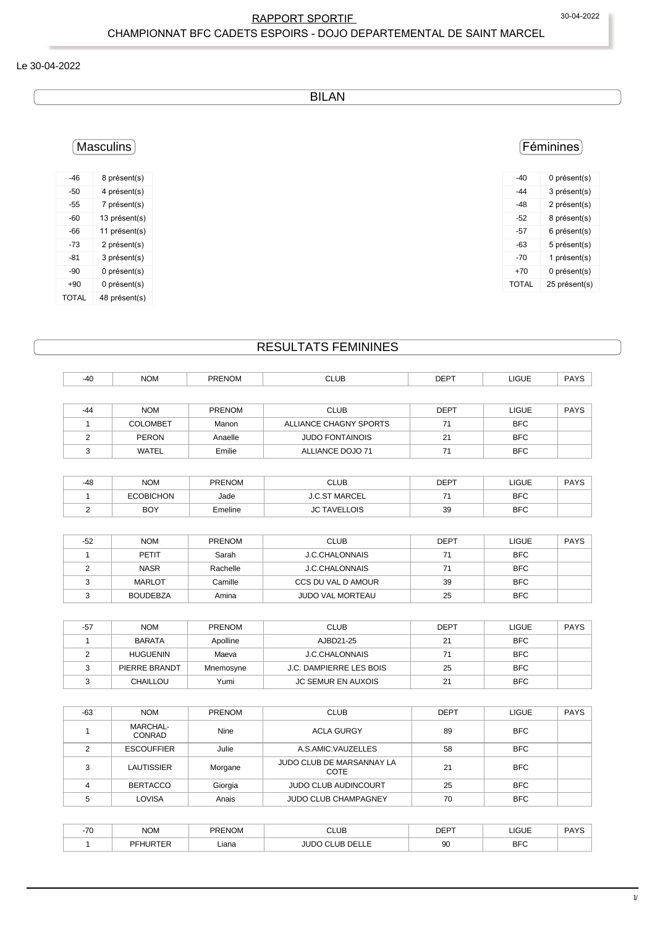## RAPPORT SPORTIF 30-04-2022 CHAMPIONNAT BFC CADETS ESPOIRS - DOJO DEPARTEMENTAL DE SAINT MARCEL

### Le 30-04-2022

BILAN

# Masculins

| -46          | 8 présent(s)  |
|--------------|---------------|
| -50          | 4 présent(s)  |
| -55          | 7 présent(s)  |
| -60          | 13 présent(s) |
| -66          | 11 présent(s) |
| -73          | 2 présent(s)  |
| -81          | 3 présent(s)  |
| -90          | 0 présent(s)  |
| +90          | 0 présent(s)  |
| <b>TOTAL</b> | 48 présent(s) |

# Féminines

| -40   | 0 présent(s)  |
|-------|---------------|
| -44   | 3 présent(s)  |
| -48   | 2 présent(s)  |
| -52   | 8 présent(s)  |
| -57   | 6 présent(s)  |
| -63   | 5 présent(s)  |
| -70   | 1 présent(s)  |
| $+70$ | 0 présent(s)  |
| TOTAL | 25 présent(s) |

## RESULTATS FEMININES

| $-40$ | <b>NOM</b>      | <b>PRENOM</b> | <b>CLUB</b>            | <b>DEPT</b> | LIGUE        | <b>PAYS</b> |
|-------|-----------------|---------------|------------------------|-------------|--------------|-------------|
|       |                 |               |                        |             |              |             |
| -44   | <b>NOM</b>      | <b>PRENOM</b> | <b>CLUB</b>            | <b>DEPT</b> | <b>LIGUE</b> | <b>PAYS</b> |
|       | <b>COLOMBET</b> | Manon         | ALLIANCE CHAGNY SPORTS | 71          | <b>BFC</b>   |             |
|       | <b>PERON</b>    | Anaelle       | <b>JUDO FONTAINOIS</b> | 21          | <b>BFC</b>   |             |
|       | <b>WATEL</b>    | Emilie        | ALLIANCE DOJO 71       | 71          | <b>BFC</b>   |             |

| $-48$ | <b>NOM</b>       | <b>PRENOM</b> | CLUB                   | <b>DEPT</b> | LIGUE      | <b>PAYS</b> |
|-------|------------------|---------------|------------------------|-------------|------------|-------------|
|       | <b>ECOBICHON</b> | Jade          | J.C.ST MARCEL          |             | <b>BFC</b> |             |
|       | <b>BOY</b>       | Emeline       | <b>TAVELLOIS</b><br>JС | 39          | <b>BFC</b> |             |

| $-52$ | <b>NOM</b>      | <b>PRENOM</b> | <b>CLUB</b>             | <b>DEPT</b> | <b>LIGUE</b> | <b>PAYS</b> |
|-------|-----------------|---------------|-------------------------|-------------|--------------|-------------|
|       | <b>PETIT</b>    | Sarah         | J.C.CHALONNAIS          | 71          | <b>BFC</b>   |             |
|       | <b>NASR</b>     | Rachelle      | J.C.CHALONNAIS          |             | <b>BFC</b>   |             |
|       | MARLOT          | Camille       | CCS DU VAL D AMOUR      | 39          | <b>BFC</b>   |             |
|       | <b>BOUDEBZA</b> | Amina         | <b>JUDO VAL MORTEAU</b> | 25          | <b>BFC</b>   |             |

| $-57$ | <b>NOM</b>      | <b>PRENOM</b> | <b>CLUB</b>             | DEPT | <b>LIGUE</b> | <b>PAYS</b> |  |
|-------|-----------------|---------------|-------------------------|------|--------------|-------------|--|
|       | BARATA          | Apolline      | AJBD21-25               | 21   | <b>BFC</b>   |             |  |
|       | <b>HUGUENIN</b> | Maeva         | <b>J.C.CHALONNAIS</b>   |      | <b>BFC</b>   |             |  |
|       | PIERRE BRANDT   | Mnemosyne     | J.C. DAMPIERRE LES BOIS | 25   | <b>BFC</b>   |             |  |
|       | CHAILLOU        | Yumi          | JC SEMUR EN AUXOIS      | 21   | <b>BFC</b>   |             |  |

| $-63$ | <b>NOM</b>                | <b>PRENOM</b> | <b>CLUB</b>                       | <b>DEPT</b> | <b>LIGUE</b> | <b>PAYS</b> |
|-------|---------------------------|---------------|-----------------------------------|-------------|--------------|-------------|
|       | MARCHAL-<br><b>CONRAD</b> | Nine          | <b>ACLA GURGY</b>                 | 89          | <b>BFC</b>   |             |
|       | <b>ESCOUFFIER</b>         | Julie         | A.S.AMIC.VAUZELLES                | 58          | <b>BFC</b>   |             |
| 3     | LAUTISSIER                | Morgane       | JUDO CLUB DE MARSANNAY LA<br>COTE | 21          | <b>BFC</b>   |             |
|       | <b>BERTACCO</b>           | Giorgia       | <b>JUDO CLUB AUDINCOURT</b>       | 25          | <b>BFC</b>   |             |
|       | LOVISA                    | Anais         | <b>JUDO CLUB CHAMPAGNEY</b>       | 70          | <b>BFC</b>   |             |

| $\overline{\phantom{a}}$ | <b>NOM</b>       | PRENOM | CLUB<br>ົ                                 | <b>DEDT</b><br>◡∟ | <b>LIGUE</b>         | DAVC<br>AIC |
|--------------------------|------------------|--------|-------------------------------------------|-------------------|----------------------|-------------|
|                          | <b>CHILIRTER</b> | Liana  | ∴י חי<br><b>JB</b><br>$\sim$ $-1$<br>---- | o٢<br>ັບ          | <b>BFC</b><br>$\sim$ |             |